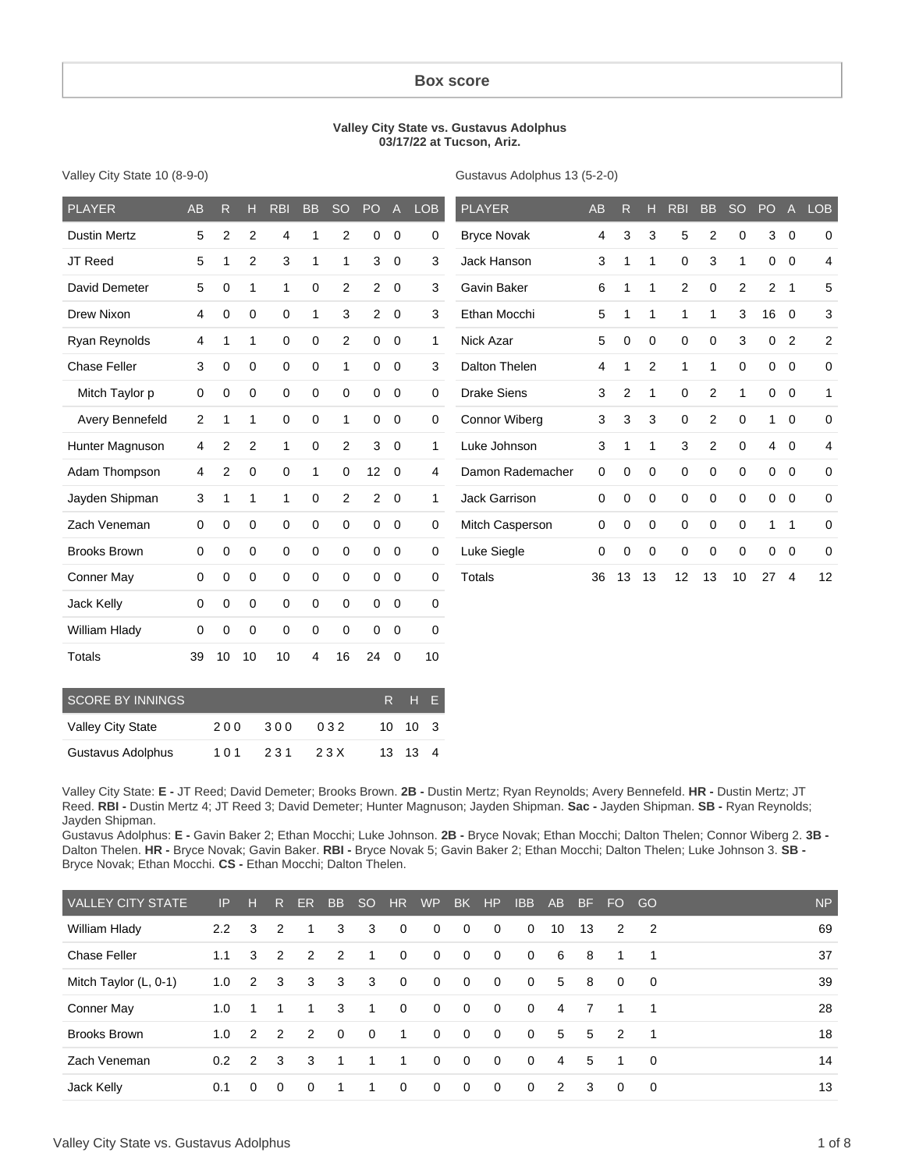#### **Box score**

#### **Valley City State vs. Gustavus Adolphus 03/17/22 at Tucson, Ariz.**

| Valley City State 10 (8-9-0) |  |
|------------------------------|--|
|                              |  |

Gustavus Adolphus 13 (5-2-0)

| <b>PLAYER</b>       | <b>AB</b> | R  | н              | <b>RBI</b>  | <b>BB</b>   | <b>SO</b>      | PO             | $\mathsf{A}$ | <b>LOB</b>   | <b>PLAYER</b>        | <b>AB</b> | R        | н           | <b>RBI</b>     | <b>BB</b>   | <b>SO</b>      | PO             | $\mathsf{A}$   | <b>LOB</b>     |
|---------------------|-----------|----|----------------|-------------|-------------|----------------|----------------|--------------|--------------|----------------------|-----------|----------|-------------|----------------|-------------|----------------|----------------|----------------|----------------|
| <b>Dustin Mertz</b> | 5         | 2  | 2              | 4           | 1           | 2              | 0              | $\mathbf 0$  | 0            | <b>Bryce Novak</b>   | 4         | 3        | 3           | 5              | 2           | $\mathbf 0$    | 3              | $\overline{0}$ | 0              |
| JT Reed             | 5         | 1  | $\overline{2}$ | 3           | 1           | 1              | 3              | $\mathbf 0$  | 3            | Jack Hanson          | 3         |          | 1           | 0              | 3           | 1              | $\mathbf{0}$   | $\overline{0}$ | 4              |
| David Demeter       | 5         | 0  | 1              | 1           | 0           | $\overline{2}$ | $\overline{2}$ | $\mathbf 0$  | 3            | Gavin Baker          | 6         |          | 1           | $\overline{c}$ | 0           | $\overline{2}$ | 2              | $\overline{1}$ | 5              |
| Drew Nixon          | 4         | 0  | 0              | 0           | 1           | 3              | $\overline{2}$ | $\mathbf 0$  | 3            | Ethan Mocchi         | 5         |          | 1           | 1              | 1           | 3              | 16             | $\overline{0}$ | 3              |
| Ryan Reynolds       | 4         |    | 1              | $\mathbf 0$ | $\mathbf 0$ | $\overline{c}$ | 0              | $\mathbf 0$  | $\mathbf{1}$ | Nick Azar            | 5         | $\Omega$ | $\mathbf 0$ | 0              | 0           | 3              | $\mathbf 0$    | $\overline{2}$ | $\overline{2}$ |
| <b>Chase Feller</b> | 3         | 0  | 0              | 0           | 0           | 1              | 0              | 0            | 3            | Dalton Thelen        | 4         |          | 2           | 1              | 1           | 0              | 0              | $\mathbf 0$    | 0              |
| Mitch Taylor p      | 0         | 0  | 0              | 0           | 0           | 0              | 0              | 0            | 0            | <b>Drake Siens</b>   | 3         | 2        | 1           | 0              | 2           | 1              | $\mathbf 0$    | $\overline{0}$ | $\mathbf{1}$   |
| Avery Bennefeld     | 2         | 1  | 1              | 0           | 0           | 1              | 0              | 0            | 0            | <b>Connor Wiberg</b> | 3         | 3        | 3           | 0              | 2           | 0              | 1              | $\overline{0}$ | $\mathbf 0$    |
| Hunter Magnuson     | 4         | 2  | $\overline{2}$ | 1           | 0           | $\overline{2}$ | 3              | 0            | $\mathbf{1}$ | Luke Johnson         | 3         | 1        | 1           | 3              | 2           | 0              | $\overline{4}$ | $\overline{0}$ | 4              |
| Adam Thompson       | 4         | 2  | 0              | 0           | 1           | 0              | 12             | 0            | 4            | Damon Rademacher     | 0         | 0        | $\mathbf 0$ | 0              | 0           | 0              | $\mathbf 0$    | $\overline{0}$ | 0              |
| Jayden Shipman      | 3         | 1  | 1              | 1           | 0           | 2              | $\overline{2}$ | $\mathbf 0$  | $\mathbf{1}$ | Jack Garrison        | 0         | 0        | 0           | 0              | 0           | $\mathbf 0$    | $\mathbf 0$    | $\overline{0}$ | 0              |
| Zach Veneman        | 0         | 0  | $\mathbf 0$    | $\mathbf 0$ | $\mathbf 0$ | $\mathbf 0$    | $\mathbf 0$    | $\mathbf 0$  | $\mathbf 0$  | Mitch Casperson      | 0         | 0        | 0           | 0              | $\mathbf 0$ | $\mathbf 0$    | 1.             | $\overline{1}$ | $\mathbf 0$    |
| <b>Brooks Brown</b> | 0         | 0  | 0              | $\mathbf 0$ | $\mathbf 0$ | $\mathbf 0$    | 0              | $\mathbf 0$  | $\mathbf 0$  | Luke Siegle          | 0         | $\Omega$ | 0           | 0              | 0           | $\mathbf 0$    | $\mathbf 0$    | $\overline{0}$ | $\mathbf 0$    |
| Conner May          | 0         | 0  | 0              | 0           | 0           | $\mathbf 0$    | 0              | 0            | 0            | <b>Totals</b>        | 36        | 13       | 13          | 12             | 13          | 10             | 27             | $\overline{4}$ | 12             |
| <b>Jack Kelly</b>   | 0         | 0  | $\mathbf 0$    | $\mathbf 0$ | $\mathbf 0$ | $\mathbf 0$    | 0              | $\mathbf 0$  | 0            |                      |           |          |             |                |             |                |                |                |                |
| William Hlady       | 0         | 0  | $\mathbf 0$    | $\mathbf 0$ | $\mathbf 0$ | $\mathbf 0$    | 0              | 0            | $\mathbf 0$  |                      |           |          |             |                |             |                |                |                |                |
| Totals              | 39        | 10 | 10             | 10          | 4           | 16             | 24             | 0            | 10           |                      |           |          |             |                |             |                |                |                |                |

| <b>SCORE BY INNINGS</b> |     |     |      | R H F                 |  |
|-------------------------|-----|-----|------|-----------------------|--|
| Valley City State       | 200 | 300 | 032  | $10 \t10 \t3$         |  |
| Gustavus Adolphus       | 101 | 231 | 23 X | $13 \quad 13 \quad 4$ |  |

Valley City State: **E -** JT Reed; David Demeter; Brooks Brown. **2B -** Dustin Mertz; Ryan Reynolds; Avery Bennefeld. **HR -** Dustin Mertz; JT Reed. **RBI -** Dustin Mertz 4; JT Reed 3; David Demeter; Hunter Magnuson; Jayden Shipman. **Sac -** Jayden Shipman. **SB -** Ryan Reynolds; Jayden Shipman.

Gustavus Adolphus: **E -** Gavin Baker 2; Ethan Mocchi; Luke Johnson. **2B -** Bryce Novak; Ethan Mocchi; Dalton Thelen; Connor Wiberg 2. **3B -** Dalton Thelen. **HR -** Bryce Novak; Gavin Baker. **RBI -** Bryce Novak 5; Gavin Baker 2; Ethan Mocchi; Dalton Thelen; Luke Johnson 3. **SB -** Bryce Novak; Ethan Mocchi. **CS -** Ethan Mocchi; Dalton Thelen.

| VALLEY CITY STATE     | IP            | н              | R.                      | ER.      | B <sub>B</sub> | SO HR        |                | <b>WP</b>    | BK             | HP             | IBB         | <b>AB</b>   | BF. | FO GO          |                | <b>NP</b> |
|-----------------------|---------------|----------------|-------------------------|----------|----------------|--------------|----------------|--------------|----------------|----------------|-------------|-------------|-----|----------------|----------------|-----------|
| William Hlady         | 2.2           | 3              | -2                      |          | 3              | 3            | $\mathbf{0}$   | $\mathbf 0$  | $\mathbf{0}$   | $\Omega$       | $\mathbf 0$ | 10          | 13  | 2              | - 2            | 69        |
| <b>Chase Feller</b>   | 1.1           | 3              | 2                       | 2        | $\overline{2}$ | $\mathbf{1}$ | $\Omega$       | $\mathbf{0}$ | $\overline{0}$ | $\Omega$       | $\Omega$    | - 6         | - 8 | $\overline{1}$ | $\overline{1}$ | 37        |
| Mitch Taylor (L, 0-1) | 1.0           | $\overline{2}$ | $\overline{\mathbf{3}}$ | 3        | $\mathbf{3}$   | $\mathbf{3}$ | $\overline{0}$ | $\mathbf 0$  | $\Omega$       | $\overline{0}$ | $\Omega$    | $5^{\circ}$ | 8   | $\Omega$       | $\overline{0}$ | 39        |
| Conner May            | 1.0           |                |                         | 1        | 3              | $\mathbf{1}$ | $\mathbf{0}$   | $\mathbf{0}$ | $\Omega$       | $\Omega$       | $\Omega$    | 4           | - 7 |                | $\overline{1}$ | 28        |
| <b>Brooks Brown</b>   | 1.0           | 2              | 2                       | 2        | $\overline{0}$ | $\Omega$     | $\overline{1}$ | $\Omega$     | $\Omega$       | $\Omega$       | $\Omega$    | $5^{\circ}$ | 5   | $\mathcal{P}$  | $\overline{1}$ | 18        |
| Zach Veneman          | $0.2^{\circ}$ | $\mathcal{P}$  | -3                      | -3       | $\overline{1}$ |              | $\mathbf{1}$   | $\Omega$     | $\Omega$       | $\Omega$       | $\Omega$    | 4           | -5  | $\overline{1}$ | $\overline{0}$ | 14        |
| Jack Kelly            | 0.1           | $\Omega$       | $\Omega$                | $\Omega$ | -1             | 1            | $\Omega$       | $\mathbf 0$  | $\overline{0}$ | $\mathbf{0}$   | $\Omega$    | 2           | -3  | $\Omega$       | $\Omega$       | 13        |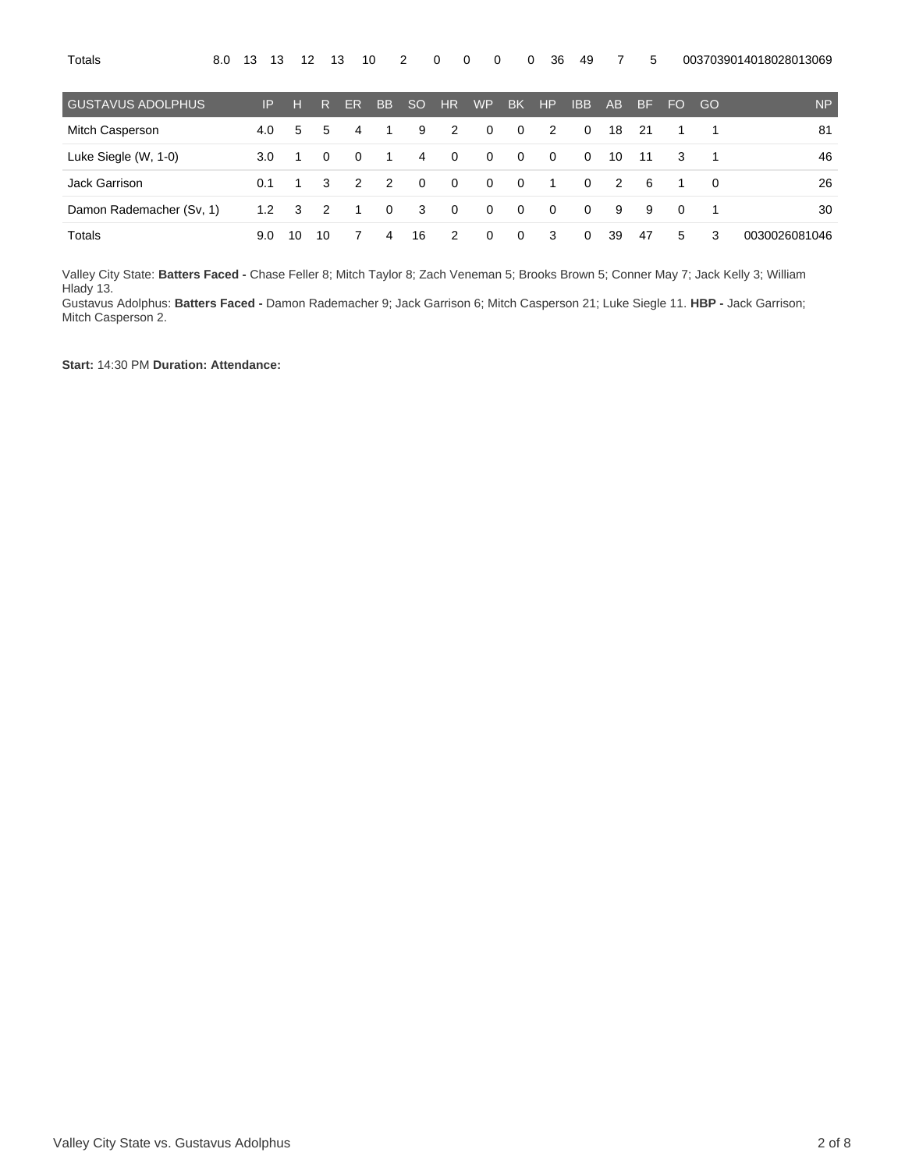| <b>GUSTAVUS ADOLPHUS</b> | IP  | н            | R.             | ER             | <b>BB</b>      | SO.                     | HR.            | <b>WP</b> | <b>BK</b>               | HP                      | <b>IBB</b>     | AB             | <b>BF</b> | <b>FO</b> | - GO           | <b>NP</b>     |
|--------------------------|-----|--------------|----------------|----------------|----------------|-------------------------|----------------|-----------|-------------------------|-------------------------|----------------|----------------|-----------|-----------|----------------|---------------|
| Mitch Casperson          | 4.0 | 5            | 5              | 4              | $\overline{1}$ | 9                       | 2              | $\Omega$  | $\Omega$                | $\overline{2}$          | $\Omega$       | 18             | - 21      |           | 1              | 81            |
| Luke Siegle (W, 1-0)     | 3.0 |              | $\Omega$       | - 0            | - 1            | $\overline{4}$          | $\Omega$       | $\Omega$  | $\overline{0}$          | $\Omega$                | $\Omega$       | 10             | 11        | 3         | $\overline{1}$ | 46            |
| Jack Garrison            | 0.1 |              | 3              | $\overline{2}$ | 2              | $\Omega$                | $\overline{0}$ | $\Omega$  | $\overline{\mathbf{0}}$ | $\overline{\mathbf{1}}$ | $\Omega$       | $\overline{2}$ | - 6       | -1        | $\Omega$       | 26            |
| Damon Rademacher (Sv, 1) | 1.2 | $\mathbf{3}$ | $\overline{2}$ | - 1            | $\Omega$       | $\overline{\mathbf{3}}$ | $\Omega$       | $\Omega$  | $\Omega$                | $\Omega$                | $\Omega$       | 9              | -9        | $\Omega$  | - 1            | 30            |
| Totals                   | 9.0 | 10           | -10            |                | 4              | 16                      | 2              | $\Omega$  | $\mathbf{0}$            | -3                      | $\overline{0}$ | 39             | 47        | 5         | 3              | 0030026081046 |

Valley City State: **Batters Faced -** Chase Feller 8; Mitch Taylor 8; Zach Veneman 5; Brooks Brown 5; Conner May 7; Jack Kelly 3; William Hlady 13.

Gustavus Adolphus: **Batters Faced -** Damon Rademacher 9; Jack Garrison 6; Mitch Casperson 21; Luke Siegle 11. **HBP -** Jack Garrison; Mitch Casperson 2.

**Start:** 14:30 PM **Duration: Attendance:**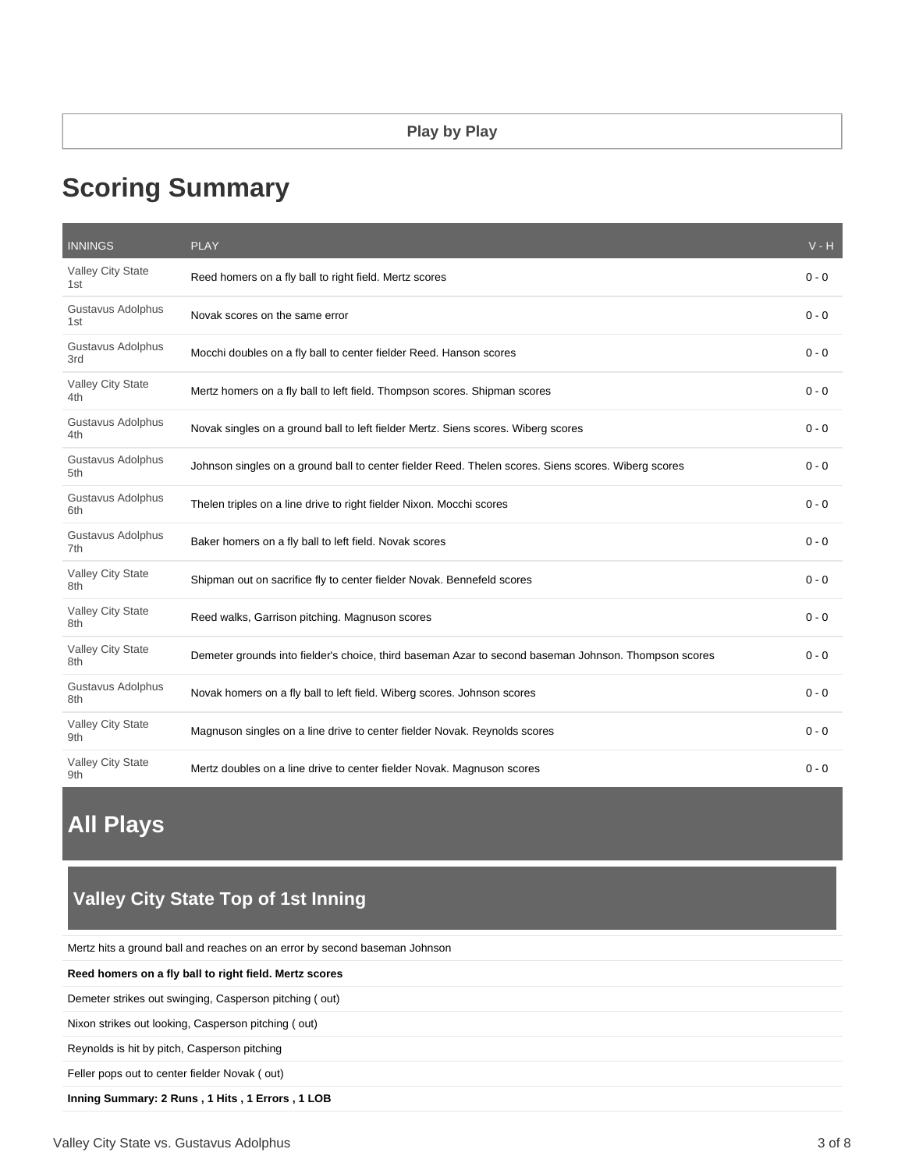# **Scoring Summary**

| <b>INNINGS</b>                  | <b>PLAY</b>                                                                                          | $V - H$ |
|---------------------------------|------------------------------------------------------------------------------------------------------|---------|
| Valley City State<br>1st        | Reed homers on a fly ball to right field. Mertz scores                                               | $0 - 0$ |
| Gustavus Adolphus<br>1st        | Novak scores on the same error                                                                       | $0 - 0$ |
| Gustavus Adolphus<br>3rd        | Mocchi doubles on a fly ball to center fielder Reed. Hanson scores                                   | $0 - 0$ |
| <b>Valley City State</b><br>4th | Mertz homers on a fly ball to left field. Thompson scores. Shipman scores                            | $0 - 0$ |
| Gustavus Adolphus<br>4th        | Novak singles on a ground ball to left fielder Mertz. Siens scores. Wiberg scores                    | $0 - 0$ |
| Gustavus Adolphus<br>5th        | Johnson singles on a ground ball to center fielder Reed. Thelen scores. Siens scores. Wiberg scores  | $0 - 0$ |
| Gustavus Adolphus<br>6th        | Thelen triples on a line drive to right fielder Nixon. Mocchi scores                                 | $0 - 0$ |
| Gustavus Adolphus<br>7th        | Baker homers on a fly ball to left field. Novak scores                                               | $0 - 0$ |
| Valley City State<br>8th        | Shipman out on sacrifice fly to center fielder Novak. Bennefeld scores                               | $0 - 0$ |
| Valley City State<br>8th        | Reed walks, Garrison pitching. Magnuson scores                                                       | $0 - 0$ |
| Valley City State<br>8th        | Demeter grounds into fielder's choice, third baseman Azar to second baseman Johnson. Thompson scores | $0 - 0$ |
| Gustavus Adolphus<br>8th        | Novak homers on a fly ball to left field. Wiberg scores. Johnson scores                              | $0 - 0$ |
| Valley City State<br>9th        | Magnuson singles on a line drive to center fielder Novak. Reynolds scores                            | $0 - 0$ |
| Valley City State<br>9th        | Mertz doubles on a line drive to center fielder Novak. Magnuson scores                               | 0 - 0   |

# **All Plays**

# **Valley City State Top of 1st Inning**

Mertz hits a ground ball and reaches on an error by second baseman Johnson

#### **Reed homers on a fly ball to right field. Mertz scores**

Demeter strikes out swinging, Casperson pitching ( out)

Nixon strikes out looking, Casperson pitching ( out)

Reynolds is hit by pitch, Casperson pitching

Feller pops out to center fielder Novak ( out)

#### **Inning Summary: 2 Runs , 1 Hits , 1 Errors , 1 LOB**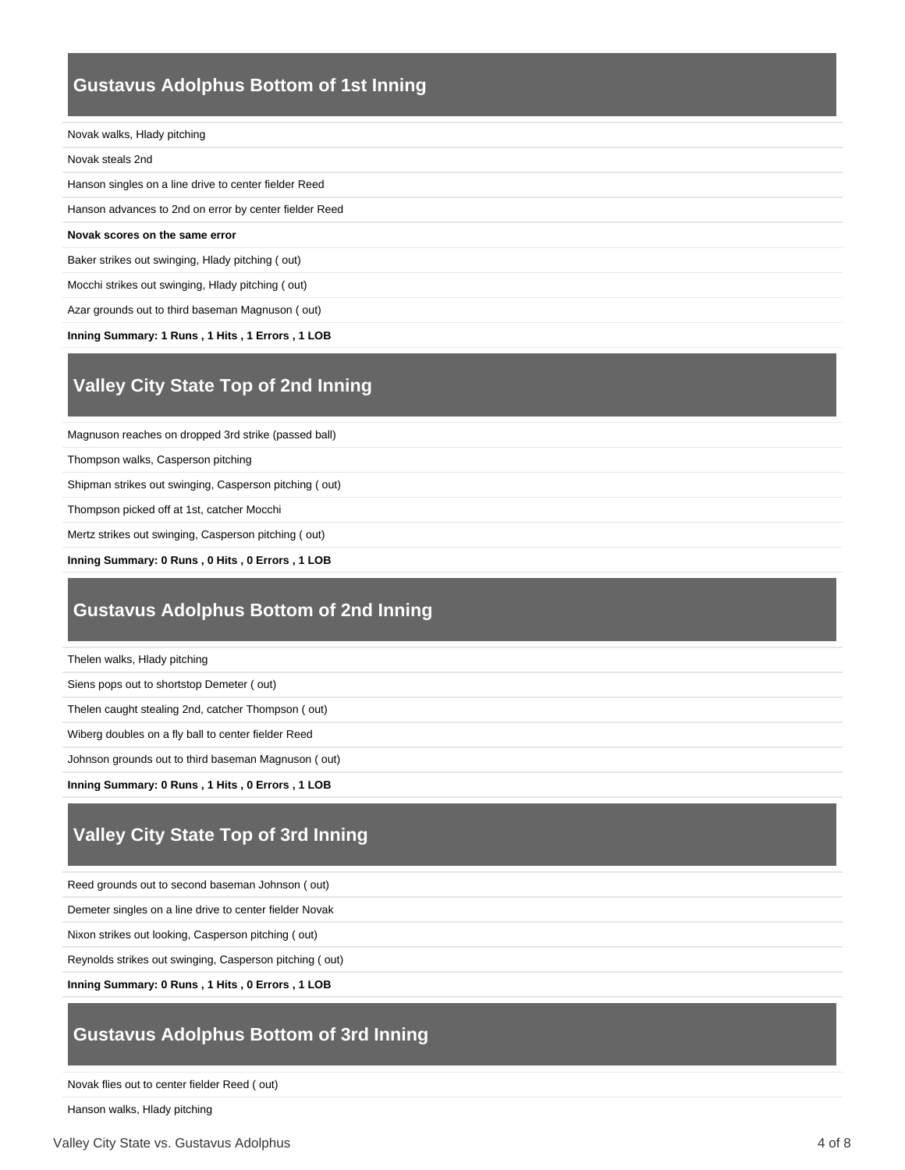## **Gustavus Adolphus Bottom of 1st Inning**

#### Novak walks, Hlady pitching

| Novak steals 2nd |  |
|------------------|--|
|------------------|--|

Hanson singles on a line drive to center fielder Reed

Hanson advances to 2nd on error by center fielder Reed

#### **Novak scores on the same error**

Baker strikes out swinging, Hlady pitching ( out)

Mocchi strikes out swinging, Hlady pitching ( out)

Azar grounds out to third baseman Magnuson ( out)

**Inning Summary: 1 Runs , 1 Hits , 1 Errors , 1 LOB**

### **Valley City State Top of 2nd Inning**

Magnuson reaches on dropped 3rd strike (passed ball)

Thompson walks, Casperson pitching

Shipman strikes out swinging, Casperson pitching ( out)

Thompson picked off at 1st, catcher Mocchi

Mertz strikes out swinging, Casperson pitching ( out)

**Inning Summary: 0 Runs , 0 Hits , 0 Errors , 1 LOB**

### **Gustavus Adolphus Bottom of 2nd Inning**

Thelen walks, Hlady pitching

Siens pops out to shortstop Demeter ( out)

Thelen caught stealing 2nd, catcher Thompson ( out)

Wiberg doubles on a fly ball to center fielder Reed

Johnson grounds out to third baseman Magnuson ( out)

**Inning Summary: 0 Runs , 1 Hits , 0 Errors , 1 LOB**

# **Valley City State Top of 3rd Inning**

Reed grounds out to second baseman Johnson ( out)

Demeter singles on a line drive to center fielder Novak

Nixon strikes out looking, Casperson pitching ( out)

Reynolds strikes out swinging, Casperson pitching ( out)

**Inning Summary: 0 Runs , 1 Hits , 0 Errors , 1 LOB**

### **Gustavus Adolphus Bottom of 3rd Inning**

Novak flies out to center fielder Reed ( out)

Hanson walks, Hlady pitching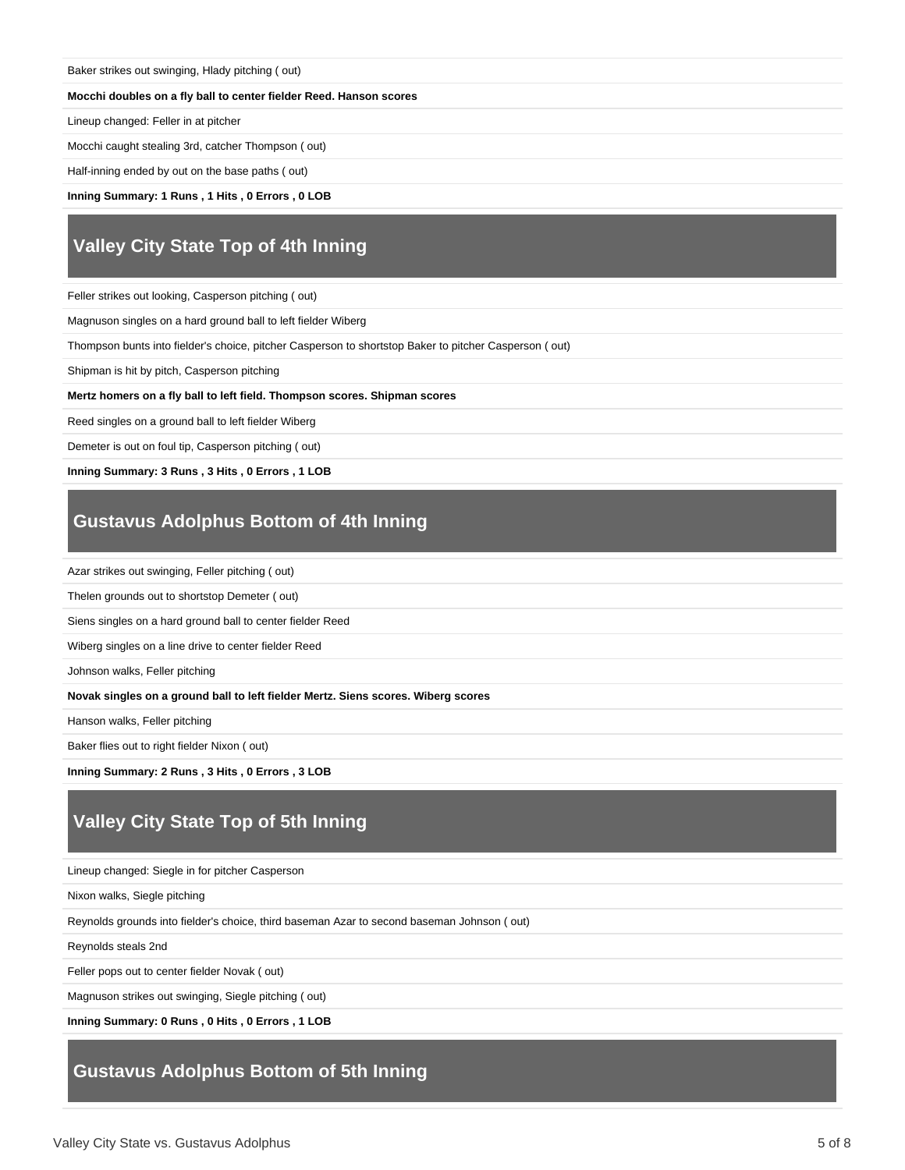| Baker strikes out swinging, Hlady pitching (out) |  |  |  |
|--------------------------------------------------|--|--|--|
|                                                  |  |  |  |

#### **Mocchi doubles on a fly ball to center fielder Reed. Hanson scores**

Lineup changed: Feller in at pitcher

Mocchi caught stealing 3rd, catcher Thompson ( out)

Half-inning ended by out on the base paths ( out)

**Inning Summary: 1 Runs , 1 Hits , 0 Errors , 0 LOB**

## **Valley City State Top of 4th Inning**

Feller strikes out looking, Casperson pitching ( out)

Magnuson singles on a hard ground ball to left fielder Wiberg

Thompson bunts into fielder's choice, pitcher Casperson to shortstop Baker to pitcher Casperson ( out)

Shipman is hit by pitch, Casperson pitching

**Mertz homers on a fly ball to left field. Thompson scores. Shipman scores**

Reed singles on a ground ball to left fielder Wiberg

Demeter is out on foul tip, Casperson pitching ( out)

**Inning Summary: 3 Runs , 3 Hits , 0 Errors , 1 LOB**

### **Gustavus Adolphus Bottom of 4th Inning**

Azar strikes out swinging, Feller pitching ( out)

Thelen grounds out to shortstop Demeter ( out)

Siens singles on a hard ground ball to center fielder Reed

Wiberg singles on a line drive to center fielder Reed

Johnson walks, Feller pitching

**Novak singles on a ground ball to left fielder Mertz. Siens scores. Wiberg scores**

Hanson walks, Feller pitching

Baker flies out to right fielder Nixon ( out)

**Inning Summary: 2 Runs , 3 Hits , 0 Errors , 3 LOB**

### **Valley City State Top of 5th Inning**

Lineup changed: Siegle in for pitcher Casperson

Nixon walks, Siegle pitching

Reynolds grounds into fielder's choice, third baseman Azar to second baseman Johnson ( out)

Reynolds steals 2nd

Feller pops out to center fielder Novak ( out)

Magnuson strikes out swinging, Siegle pitching ( out)

**Inning Summary: 0 Runs , 0 Hits , 0 Errors , 1 LOB**

### **Gustavus Adolphus Bottom of 5th Inning**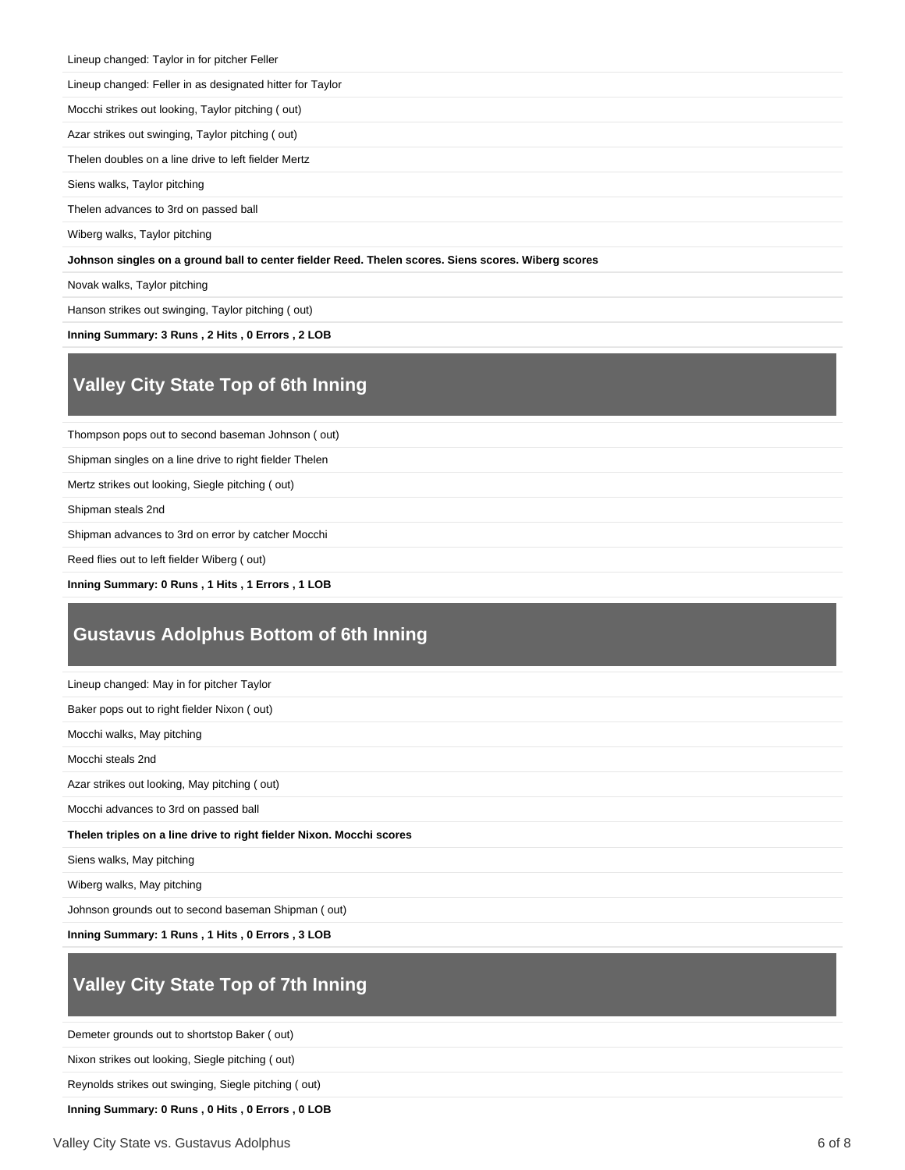Lineup changed: Taylor in for pitcher Feller

Lineup changed: Feller in as designated hitter for Taylor

Mocchi strikes out looking, Taylor pitching ( out)

Azar strikes out swinging, Taylor pitching ( out)

Thelen doubles on a line drive to left fielder Mertz

Siens walks, Taylor pitching

Thelen advances to 3rd on passed ball

Wiberg walks, Taylor pitching

#### **Johnson singles on a ground ball to center fielder Reed. Thelen scores. Siens scores. Wiberg scores**

Novak walks, Taylor pitching

Hanson strikes out swinging, Taylor pitching ( out)

**Inning Summary: 3 Runs , 2 Hits , 0 Errors , 2 LOB**

### **Valley City State Top of 6th Inning**

Thompson pops out to second baseman Johnson ( out)

Shipman singles on a line drive to right fielder Thelen

Mertz strikes out looking, Siegle pitching ( out)

Shipman steals 2nd

Shipman advances to 3rd on error by catcher Mocchi

Reed flies out to left fielder Wiberg ( out)

**Inning Summary: 0 Runs , 1 Hits , 1 Errors , 1 LOB**

### **Gustavus Adolphus Bottom of 6th Inning**

| Lineup changed: May in for pitcher Taylor                            |
|----------------------------------------------------------------------|
| Baker pops out to right fielder Nixon (out)                          |
| Mocchi walks, May pitching                                           |
| Mocchi steals 2nd                                                    |
| Azar strikes out looking, May pitching (out)                         |
| Mocchi advances to 3rd on passed ball                                |
| Thelen triples on a line drive to right fielder Nixon. Mocchi scores |
| Siens walks, May pitching                                            |
| Wiberg walks, May pitching                                           |
|                                                                      |

Johnson grounds out to second baseman Shipman ( out)

**Inning Summary: 1 Runs , 1 Hits , 0 Errors , 3 LOB**

# **Valley City State Top of 7th Inning**

Demeter grounds out to shortstop Baker ( out)

Nixon strikes out looking, Siegle pitching ( out)

Reynolds strikes out swinging, Siegle pitching ( out)

**Inning Summary: 0 Runs , 0 Hits , 0 Errors , 0 LOB**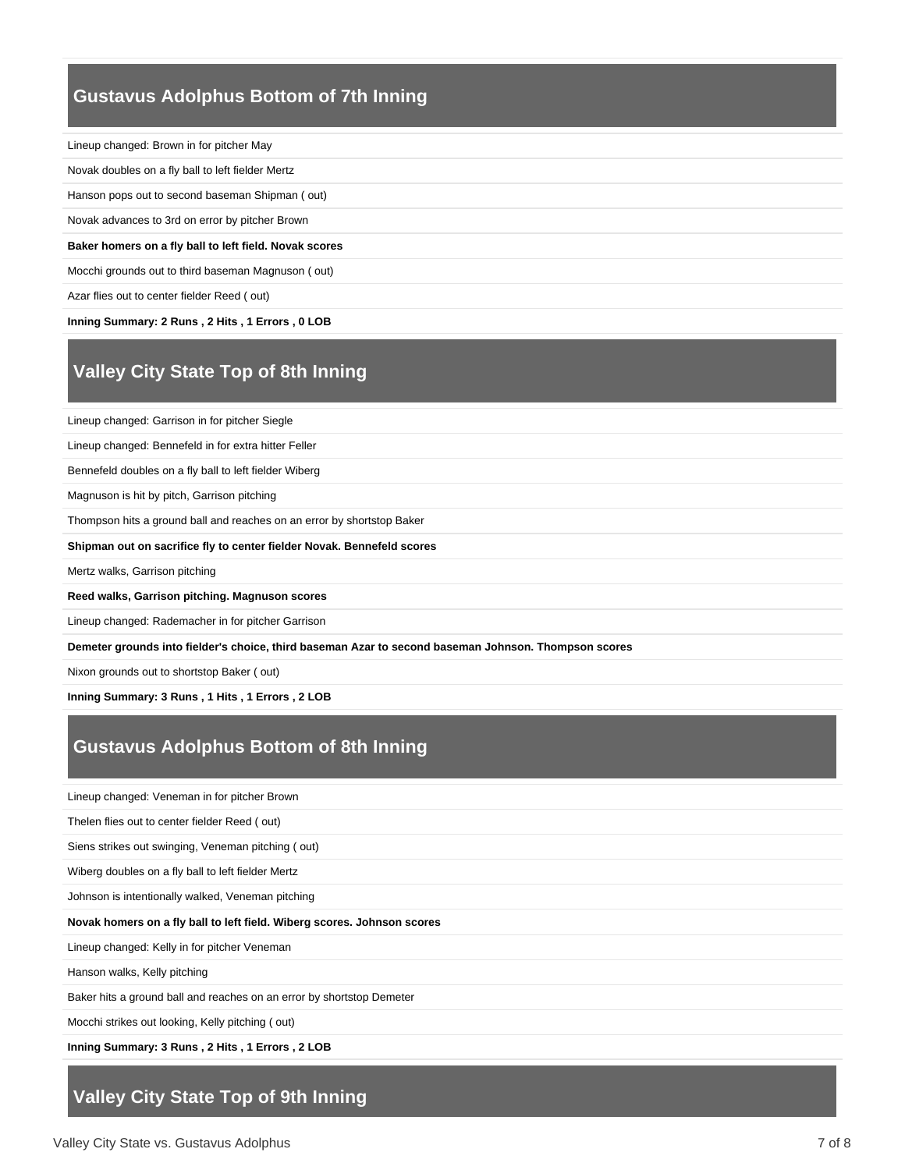### **Gustavus Adolphus Bottom of 7th Inning**

Lineup changed: Brown in for pitcher May Novak doubles on a fly ball to left fielder Mertz Hanson pops out to second baseman Shipman ( out) Novak advances to 3rd on error by pitcher Brown **Baker homers on a fly ball to left field. Novak scores** Mocchi grounds out to third baseman Magnuson ( out) Azar flies out to center fielder Reed ( out)

**Inning Summary: 2 Runs , 2 Hits , 1 Errors , 0 LOB**

# **Valley City State Top of 8th Inning**

Lineup changed: Garrison in for pitcher Siegle

Lineup changed: Bennefeld in for extra hitter Feller

Bennefeld doubles on a fly ball to left fielder Wiberg

Magnuson is hit by pitch, Garrison pitching

Thompson hits a ground ball and reaches on an error by shortstop Baker

**Shipman out on sacrifice fly to center fielder Novak. Bennefeld scores**

Mertz walks, Garrison pitching

**Reed walks, Garrison pitching. Magnuson scores**

Lineup changed: Rademacher in for pitcher Garrison

**Demeter grounds into fielder's choice, third baseman Azar to second baseman Johnson. Thompson scores**

Nixon grounds out to shortstop Baker ( out)

**Inning Summary: 3 Runs , 1 Hits , 1 Errors , 2 LOB**

### **Gustavus Adolphus Bottom of 8th Inning**

Lineup changed: Veneman in for pitcher Brown

Thelen flies out to center fielder Reed ( out)

Siens strikes out swinging, Veneman pitching ( out)

Wiberg doubles on a fly ball to left fielder Mertz

Johnson is intentionally walked, Veneman pitching

#### **Novak homers on a fly ball to left field. Wiberg scores. Johnson scores**

Lineup changed: Kelly in for pitcher Veneman

Hanson walks, Kelly pitching

Baker hits a ground ball and reaches on an error by shortstop Demeter

Mocchi strikes out looking, Kelly pitching ( out)

**Inning Summary: 3 Runs , 2 Hits , 1 Errors , 2 LOB**

### **Valley City State Top of 9th Inning**